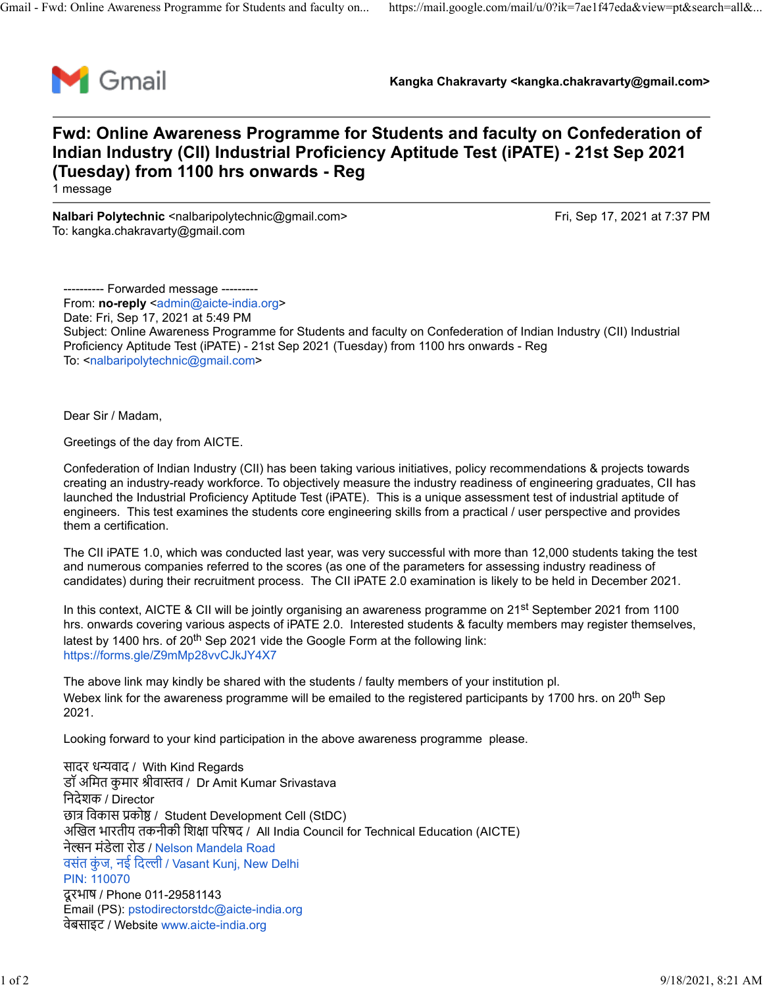

**Kangka Chakravarty <kangka.chakravarty@gmail.com>**

## **Fwd: Online Awareness Programme for Students and faculty on Confederation of Indian Industry (CII) Industrial Proficiency Aptitude Test (iPATE) - 21st Sep 2021 (Tuesday) from 1100 hrs onwards - Reg**

1 message

**Nalbari Polytechnic** <nalbaripolytechnic@gmail.com> Fri, Sep 17, 2021 at 7:37 PM To: kangka.chakravarty@gmail.com

---------- Forwarded message --------- From: **no-reply** <[admin@aicte-india.org>](mailto:admin@aicte-india.org) Date: Fri, Sep 17, 2021 at 5:49 PM Subject: Online Awareness Programme for Students and faculty on Confederation of Indian Industry (CII) Industrial Proficiency Aptitude Test (iPATE) - 21st Sep 2021 (Tuesday) from 1100 hrs onwards - Reg To: [<nalbaripolytechnic@gmail.com>](mailto:nalbaripolytechnic@gmail.com)

Dear Sir / Madam,

Greetings of the day from AICTE.

Confederation of Indian Industry (CII) has been taking various initiatives, policy recommendations & projects towards creating an industry-ready workforce. To objectively measure the industry readiness of engineering graduates, CII has launched the Industrial Proficiency Aptitude Test (iPATE). This is a unique assessment test of industrial aptitude of engineers. This test examines the students core engineering skills from a practical / user perspective and provides them a certification.

The CII iPATE 1.0, which was conducted last year, was very successful with more than 12,000 students taking the test and numerous companies referred to the scores (as one of the parameters for assessing industry readiness of candidates) during their recruitment process. The CII iPATE 2.0 examination is likely to be held in December 2021.

In this context, AICTE & CII will be jointly organising an awareness programme on 21<sup>st</sup> September 2021 from 1100 hrs. onwards covering various aspects of iPATE 2.0. Interested students & faculty members may register themselves, latest by 1400 hrs. of  $20<sup>th</sup>$  Sep 2021 vide the Google Form at the following link: [https://forms.gle/Z9mMp28vvCJkJY4X7](https://ind01.safelinks.protection.outlook.com/?url=https%3A%2F%2Fforms.gle%2FZ9mMp28vvCJkJY4X7&data=04%7C01%7CRahul1.chauhan%40lntinfotech.com%7C585a012ab7594e13d70708d979ca6bc7%7C02aa9fc118bc4798a020e01c854dd434%7C1%7C0%7C637674732564813576%7CUnknown%7CTWFpbGZsb3d8eyJWIjoiMC4wLjAwMDAiLCJQIjoiV2luMzIiLCJBTiI6Ik1haWwiLCJXVCI6Mn0%3D%7C1000&sdata=xPCfyVPed1R2o2Hcbnh6KedNzKSxLf9Mt99XQSF3lSE%3D&reserved=0)

The above link may kindly be shared with the students / faulty members of your institution pl. Webex link for the awareness programme will be emailed to the registered participants by 1700 hrs. on 20<sup>th</sup> Sep 2021.

Looking forward to your kind participation in the above awareness programme please.

सादर ध�वाद / With Kind Regards डॉ अमित कुमार श्रीवास्तव / Dr Amit Kumar Srivastava िनदेशक / Director छा� िवकास �को� / Student Development Cell (StDC) अ�खल भारतीय तकनीकी िश�ा प�रषद / All India Council for Technical Education (AICTE) नेल्सन मंडेला रोड / [Nelson Mandela Road](https://www.google.com/maps/search/Nelson+Mandela+Road+%E0%A4%B5%E0%A4%B8%E0%A4%82%E0%A4%A4%C2%A0%E0%A4%95%E0%A5%81%E0%A4%82%E0%A4%9C,%C2%A0%E0%A4%A8%E0%A4%88%C2%A0%E0%A4%A6%E0%A4%BF%E0%A4%B2%E0%A5%8D%E0%A4%B2%E0%A5%80%C2%A0%2F%C2%A0Vasant+Kunj,+New+Delhi+PIN:+110070?entry=gmail&source=g) वसंत कुंज, नई दिल्ली [/ Vasant Kunj, New Delhi](https://www.google.com/maps/search/Nelson+Mandela+Road+%E0%A4%B5%E0%A4%B8%E0%A4%82%E0%A4%A4%C2%A0%E0%A4%95%E0%A5%81%E0%A4%82%E0%A4%9C,%C2%A0%E0%A4%A8%E0%A4%88%C2%A0%E0%A4%A6%E0%A4%BF%E0%A4%B2%E0%A5%8D%E0%A4%B2%E0%A5%80%C2%A0%2F%C2%A0Vasant+Kunj,+New+Delhi+PIN:+110070?entry=gmail&source=g) [PIN: 110070](https://www.google.com/maps/search/Nelson+Mandela+Road+%E0%A4%B5%E0%A4%B8%E0%A4%82%E0%A4%A4%C2%A0%E0%A4%95%E0%A5%81%E0%A4%82%E0%A4%9C,%C2%A0%E0%A4%A8%E0%A4%88%C2%A0%E0%A4%A6%E0%A4%BF%E0%A4%B2%E0%A5%8D%E0%A4%B2%E0%A5%80%C2%A0%2F%C2%A0Vasant+Kunj,+New+Delhi+PIN:+110070?entry=gmail&source=g) दू रभाष / Phone 011-29581143 Email (PS): [pstodirectorstdc@aicte-india.org](mailto:pstodirectorstdc@aicte-india.org) वेबसाइट / Website [www.aicte-india.org](https://ind01.safelinks.protection.outlook.com/?url=http%3A%2F%2Fwww.aicte-india.org%2F&data=04%7C01%7CRahul1.chauhan%40lntinfotech.com%7C585a012ab7594e13d70708d979ca6bc7%7C02aa9fc118bc4798a020e01c854dd434%7C1%7C0%7C637674732564823532%7CUnknown%7CTWFpbGZsb3d8eyJWIjoiMC4wLjAwMDAiLCJQIjoiV2luMzIiLCJBTiI6Ik1haWwiLCJXVCI6Mn0%3D%7C1000&sdata=H0Yoq51zr%2Fkn2AwQ4nbKCNhSN95LKCpPk00%2B539lShE%3D&reserved=0)